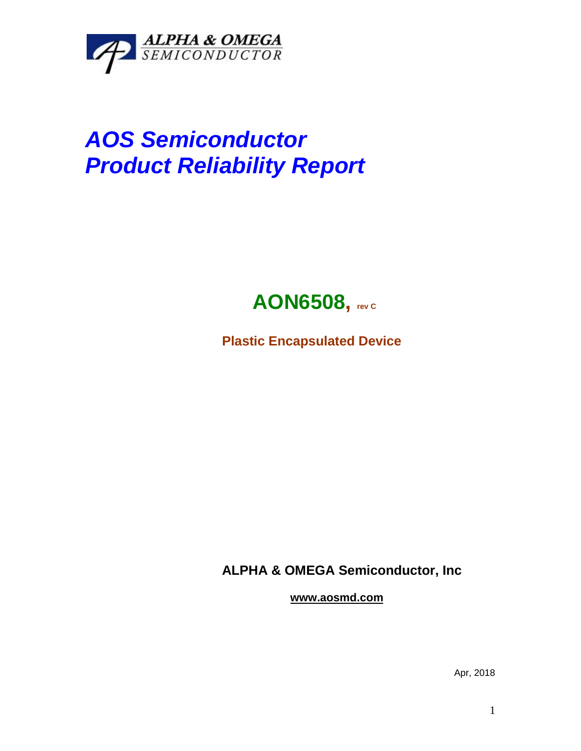

## *AOS Semiconductor Product Reliability Report*



**Plastic Encapsulated Device**

**ALPHA & OMEGA Semiconductor, Inc**

**www.aosmd.com**

Apr, 2018